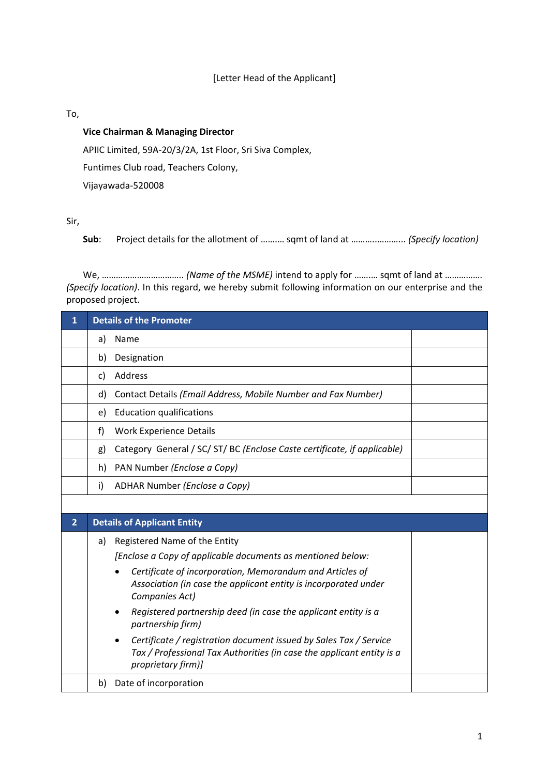## [Letter Head of the Applicant]

## To,

## **Vice Chairman & Managing Director**

APIIC Limited, 59A-20/3/2A, 1st Floor, Sri Siva Complex,

Funtimes Club road, Teachers Colony,

Vijayawada-520008

## Sir,

**Sub**: Project details for the allotment of …….… sqmt of land at ………..………... *(Specify location)*

We, …………………………….. *(Name of the MSME)* intend to apply for …….… sqmt of land at ……………. *(Specify location)*. In this regard, we hereby submit following information on our enterprise and the proposed project.

| 1              | <b>Details of the Promoter</b>                                                                                                                                   |
|----------------|------------------------------------------------------------------------------------------------------------------------------------------------------------------|
|                | Name<br>a)                                                                                                                                                       |
|                | Designation<br>b)                                                                                                                                                |
|                | Address<br>c)                                                                                                                                                    |
|                | Contact Details (Email Address, Mobile Number and Fax Number)<br>d)                                                                                              |
|                | <b>Education qualifications</b><br>e)                                                                                                                            |
|                | f)<br><b>Work Experience Details</b>                                                                                                                             |
|                | Category General / SC/ ST/ BC (Enclose Caste certificate, if applicable)<br>g)                                                                                   |
|                | PAN Number (Enclose a Copy)<br>h)                                                                                                                                |
|                | ADHAR Number (Enclose a Copy)<br>i)                                                                                                                              |
|                |                                                                                                                                                                  |
| $\overline{2}$ | <b>Details of Applicant Entity</b>                                                                                                                               |
|                | Registered Name of the Entity<br>a)                                                                                                                              |
|                | [Enclose a Copy of applicable documents as mentioned below:                                                                                                      |
|                | Certificate of incorporation, Memorandum and Articles of                                                                                                         |
|                | Association (in case the applicant entity is incorporated under<br>Companies Act)                                                                                |
|                | Registered partnership deed (in case the applicant entity is a<br>partnership firm)                                                                              |
|                | Certificate / registration document issued by Sales Tax / Service<br>Tax / Professional Tax Authorities (in case the applicant entity is a<br>proprietary firm)] |
|                | Date of incorporation<br>b)                                                                                                                                      |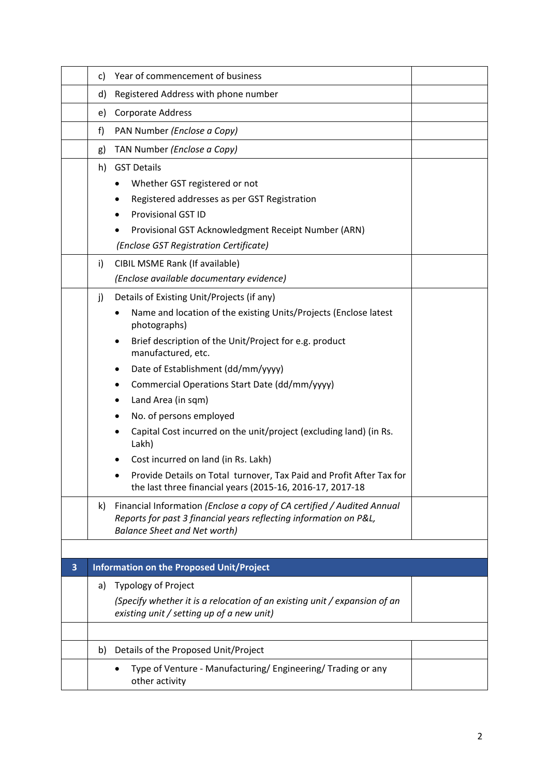|   | C)  | Year of commencement of business                                                                                                                                                   |  |
|---|-----|------------------------------------------------------------------------------------------------------------------------------------------------------------------------------------|--|
|   | d)  | Registered Address with phone number                                                                                                                                               |  |
|   | e)  | Corporate Address                                                                                                                                                                  |  |
|   | f)  | PAN Number (Enclose a Copy)                                                                                                                                                        |  |
|   | g)  | TAN Number (Enclose a Copy)                                                                                                                                                        |  |
|   |     | h) GST Details                                                                                                                                                                     |  |
|   |     | Whether GST registered or not                                                                                                                                                      |  |
|   |     | Registered addresses as per GST Registration                                                                                                                                       |  |
|   |     | <b>Provisional GST ID</b>                                                                                                                                                          |  |
|   |     | Provisional GST Acknowledgment Receipt Number (ARN)                                                                                                                                |  |
|   |     | (Enclose GST Registration Certificate)                                                                                                                                             |  |
|   | i)  | CIBIL MSME Rank (If available)                                                                                                                                                     |  |
|   |     | (Enclose available documentary evidence)                                                                                                                                           |  |
|   | j)  | Details of Existing Unit/Projects (if any)                                                                                                                                         |  |
|   |     | Name and location of the existing Units/Projects (Enclose latest<br>photographs)                                                                                                   |  |
|   |     | Brief description of the Unit/Project for e.g. product<br>manufactured, etc.                                                                                                       |  |
|   |     | Date of Establishment (dd/mm/yyyy)<br>٠                                                                                                                                            |  |
|   |     | Commercial Operations Start Date (dd/mm/yyyy)                                                                                                                                      |  |
|   |     | Land Area (in sqm)                                                                                                                                                                 |  |
|   |     | No. of persons employed                                                                                                                                                            |  |
|   |     | Capital Cost incurred on the unit/project (excluding land) (in Rs.<br>Lakh)                                                                                                        |  |
|   |     | Cost incurred on land (in Rs. Lakh)                                                                                                                                                |  |
|   |     | Provide Details on Total turnover, Tax Paid and Profit After Tax for<br>the last three financial years (2015-16, 2016-17, 2017-18                                                  |  |
|   | k). | Financial Information (Enclose a copy of CA certified / Audited Annual<br>Reports for past 3 financial years reflecting information on P&L,<br><b>Balance Sheet and Net worth)</b> |  |
|   |     |                                                                                                                                                                                    |  |
| 3 |     | <b>Information on the Proposed Unit/Project</b>                                                                                                                                    |  |
|   | a)  | <b>Typology of Project</b>                                                                                                                                                         |  |
|   |     | (Specify whether it is a relocation of an existing unit / expansion of an<br>existing unit / setting up of a new unit)                                                             |  |
|   |     |                                                                                                                                                                                    |  |
|   | b)  | Details of the Proposed Unit/Project                                                                                                                                               |  |
|   |     | Type of Venture - Manufacturing/ Engineering/ Trading or any<br>other activity                                                                                                     |  |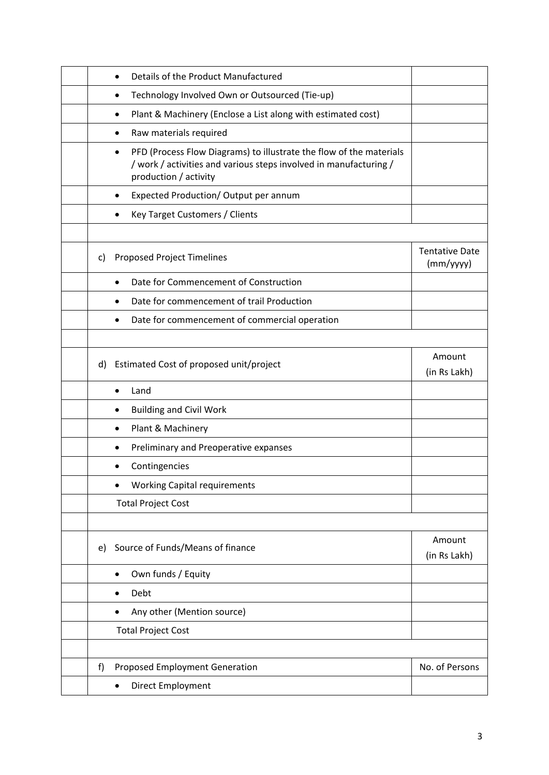|    | Details of the Product Manufactured                                                                                                                                            |                                    |
|----|--------------------------------------------------------------------------------------------------------------------------------------------------------------------------------|------------------------------------|
|    | Technology Involved Own or Outsourced (Tie-up)<br>$\bullet$                                                                                                                    |                                    |
|    | Plant & Machinery (Enclose a List along with estimated cost)<br>٠                                                                                                              |                                    |
|    | Raw materials required                                                                                                                                                         |                                    |
|    | PFD (Process Flow Diagrams) to illustrate the flow of the materials<br>$\bullet$<br>/ work / activities and various steps involved in manufacturing /<br>production / activity |                                    |
|    | Expected Production/ Output per annum                                                                                                                                          |                                    |
|    | Key Target Customers / Clients                                                                                                                                                 |                                    |
|    |                                                                                                                                                                                |                                    |
| C) | <b>Proposed Project Timelines</b>                                                                                                                                              | <b>Tentative Date</b><br>(mm/yyyy) |
|    | Date for Commencement of Construction                                                                                                                                          |                                    |
|    | Date for commencement of trail Production<br>$\bullet$                                                                                                                         |                                    |
|    | Date for commencement of commercial operation                                                                                                                                  |                                    |
|    |                                                                                                                                                                                |                                    |
| d) | Estimated Cost of proposed unit/project                                                                                                                                        | Amount<br>(in Rs Lakh)             |
|    | Land<br>$\bullet$                                                                                                                                                              |                                    |
|    | <b>Building and Civil Work</b>                                                                                                                                                 |                                    |
|    | Plant & Machinery                                                                                                                                                              |                                    |
|    | Preliminary and Preoperative expanses                                                                                                                                          |                                    |
|    | Contingencies                                                                                                                                                                  |                                    |
|    | <b>Working Capital requirements</b>                                                                                                                                            |                                    |
|    | <b>Total Project Cost</b>                                                                                                                                                      |                                    |
|    |                                                                                                                                                                                |                                    |
| e) | Source of Funds/Means of finance                                                                                                                                               | Amount<br>(in Rs Lakh)             |
|    | Own funds / Equity<br>$\bullet$                                                                                                                                                |                                    |
|    | Debt                                                                                                                                                                           |                                    |
|    | Any other (Mention source)                                                                                                                                                     |                                    |
|    |                                                                                                                                                                                |                                    |
|    | <b>Total Project Cost</b>                                                                                                                                                      |                                    |
|    |                                                                                                                                                                                |                                    |
| f) | Proposed Employment Generation                                                                                                                                                 | No. of Persons                     |